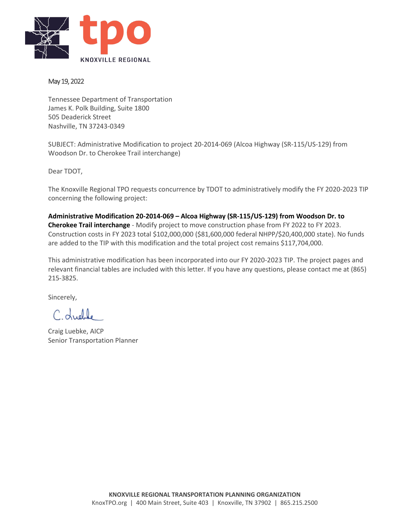

### May 19, 2022

Tennessee Department of Transportation James K. Polk Building, Suite 1800 505 Deaderick Street Nashville, TN 37243-0349

SUBJECT: Administrative Modification to project 20-2014-069 (Alcoa Highway (SR-115/US-129) from Woodson Dr. to Cherokee Trail interchange)

Dear TDOT,

The Knoxville Regional TPO requests concurrence by TDOT to administratively modify the FY 2020-2023 TIP concerning the following project:

**Administrative Modification 20-2014-069 – Alcoa Highway (SR-115/US-129) from Woodson Dr. to Cherokee Trail interchange** - Modify project to move construction phase from FY 2022 to FY 2023. Construction costs in FY 2023 total \$102,000,000 (\$81,600,000 federal NHPP/\$20,400,000 state). No funds are added to the TIP with this modification and the total project cost remains \$117,704,000.

This administrative modification has been incorporated into our FY 2020-2023 TIP. The project pages and relevant financial tables are included with this letter. If you have any questions, please contact me at (865) 215-3825.

Sincerely,

Couple

Craig Luebke, AICP Senior Transportation Planner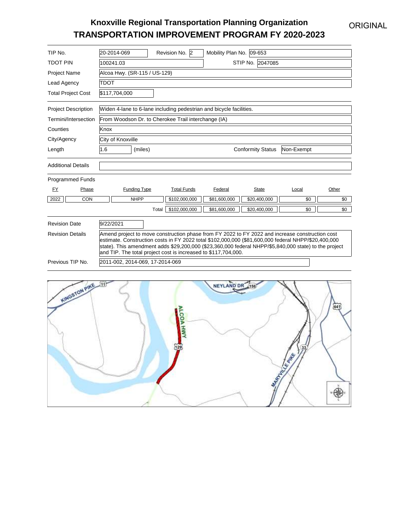## ORIGINAL

# **Knoxville Regional Transportation Planning Organization TRANSPORTATION IMPROVEMENT PROGRAM FY 2020-2023**

| TIP No.                    | 20-2014-069<br>Revision No. 2                                                                                                                                                                                                                                                                                                                                                     | Mobility Plan No. 09-653     |                |  |  |  |  |  |
|----------------------------|-----------------------------------------------------------------------------------------------------------------------------------------------------------------------------------------------------------------------------------------------------------------------------------------------------------------------------------------------------------------------------------|------------------------------|----------------|--|--|--|--|--|
| <b>TDOT PIN</b>            | 100241.03                                                                                                                                                                                                                                                                                                                                                                         | STIP No. 2047085             |                |  |  |  |  |  |
| <b>Project Name</b>        | Alcoa Hwy. (SR-115 / US-129)                                                                                                                                                                                                                                                                                                                                                      |                              |                |  |  |  |  |  |
| Lead Agency                | <b>TDOT</b>                                                                                                                                                                                                                                                                                                                                                                       |                              |                |  |  |  |  |  |
| <b>Total Project Cost</b>  | \$117,704,000                                                                                                                                                                                                                                                                                                                                                                     |                              |                |  |  |  |  |  |
| <b>Project Description</b> | Widen 4-lane to 6-lane including pedestrian and bicycle facilities.                                                                                                                                                                                                                                                                                                               |                              |                |  |  |  |  |  |
| Termini/Intersection       | From Woodson Dr. to Cherokee Trail interchange (IA)                                                                                                                                                                                                                                                                                                                               |                              |                |  |  |  |  |  |
| Counties                   | Knox                                                                                                                                                                                                                                                                                                                                                                              |                              |                |  |  |  |  |  |
| City/Agency                | City of Knoxville                                                                                                                                                                                                                                                                                                                                                                 |                              |                |  |  |  |  |  |
| Length                     | 1.6<br>(miles)                                                                                                                                                                                                                                                                                                                                                                    | <b>Conformity Status</b>     | Non-Exempt     |  |  |  |  |  |
| <b>Additional Details</b>  |                                                                                                                                                                                                                                                                                                                                                                                   |                              |                |  |  |  |  |  |
| <b>Programmed Funds</b>    |                                                                                                                                                                                                                                                                                                                                                                                   |                              |                |  |  |  |  |  |
| FY<br>Phase                | <b>Total Funds</b><br><b>Funding Type</b>                                                                                                                                                                                                                                                                                                                                         | <b>State</b><br>Federal      | Other<br>Local |  |  |  |  |  |
| 2022<br>CON                | \$102,000,000<br><b>NHPP</b>                                                                                                                                                                                                                                                                                                                                                      | \$81,600,000<br>\$20,400,000 | \$0<br>\$0     |  |  |  |  |  |
|                            | \$102,000,000<br>Total                                                                                                                                                                                                                                                                                                                                                            | \$81,600,000<br>\$20,400,000 | \$0<br>\$0     |  |  |  |  |  |
| <b>Revision Date</b>       | 9/22/2021                                                                                                                                                                                                                                                                                                                                                                         |                              |                |  |  |  |  |  |
| <b>Revision Details</b>    | Amend project to move construction phase from FY 2022 to FY 2022 and increase construction cost<br>estimate. Construction costs in FY 2022 total \$102,000,000 (\$81,600,000 federal NHPP/\$20,400,000<br>state). This amendment adds \$29,200,000 (\$23,360,000 federal NHPP/\$5,840,000 state) to the project<br>and TIP. The total project cost is increased to \$117,704,000. |                              |                |  |  |  |  |  |
| Previous TIP No.           | 2011-002, 2014-069, 17-2014-069                                                                                                                                                                                                                                                                                                                                                   |                              |                |  |  |  |  |  |

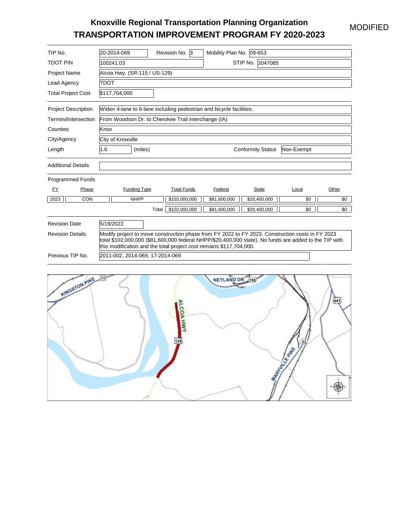### MODIFIED

# **Knoxville Regional Transportation Planning Organization TRANSPORTATION IMPROVEMENT PROGRAM FY 2020-2023**

| TIP No.                    | 20-2014-069                                                                                                                                                                                                                                                                       | Revision No. 3                                                      | Mobility Plan No. 09-653 |                          |            |       |  |  |
|----------------------------|-----------------------------------------------------------------------------------------------------------------------------------------------------------------------------------------------------------------------------------------------------------------------------------|---------------------------------------------------------------------|--------------------------|--------------------------|------------|-------|--|--|
| <b>TDOT PIN</b>            | STIP No. 2047085<br>100241.03                                                                                                                                                                                                                                                     |                                                                     |                          |                          |            |       |  |  |
| <b>Project Name</b>        | Alcoa Hwy. (SR-115 / US-129)                                                                                                                                                                                                                                                      |                                                                     |                          |                          |            |       |  |  |
| Lead Agency                | <b>TDOT</b>                                                                                                                                                                                                                                                                       |                                                                     |                          |                          |            |       |  |  |
| <b>Total Project Cost</b>  | \$117,704,000                                                                                                                                                                                                                                                                     |                                                                     |                          |                          |            |       |  |  |
| <b>Project Description</b> |                                                                                                                                                                                                                                                                                   | Widen 4-lane to 6-lane including pedestrian and bicycle facilities. |                          |                          |            |       |  |  |
| Termini/Intersection       |                                                                                                                                                                                                                                                                                   | From Woodson Dr. to Cherokee Trail interchange (IA)                 |                          |                          |            |       |  |  |
| Counties                   | Knox                                                                                                                                                                                                                                                                              |                                                                     |                          |                          |            |       |  |  |
| City/Agency                | City of Knoxville                                                                                                                                                                                                                                                                 |                                                                     |                          |                          |            |       |  |  |
| Length                     | 1.6<br>(miles)                                                                                                                                                                                                                                                                    |                                                                     |                          | <b>Conformity Status</b> | Non-Exempt |       |  |  |
| <b>Additional Details</b>  |                                                                                                                                                                                                                                                                                   |                                                                     |                          |                          |            |       |  |  |
| <b>Programmed Funds</b>    |                                                                                                                                                                                                                                                                                   |                                                                     |                          |                          |            |       |  |  |
| FY.<br>Phase               | <b>Funding Type</b>                                                                                                                                                                                                                                                               | <b>Total Funds</b>                                                  | Federal                  | State                    | Local      | Other |  |  |
| 2023<br>CON                | <b>NHPP</b>                                                                                                                                                                                                                                                                       | \$102,000,000                                                       | \$81,600,000             | \$20,400,000             | \$0        | \$0   |  |  |
|                            |                                                                                                                                                                                                                                                                                   | \$102.000.000<br>Total                                              | \$81.600.000             | \$20,400,000             | \$0        | \$0   |  |  |
| <b>Revision Date</b>       | 5/19/2022                                                                                                                                                                                                                                                                         |                                                                     |                          |                          |            |       |  |  |
| <b>Revision Details</b>    | Modify project to move construction phase from FY 2022 to FY 2023. Construction costs in FY 2023<br>total \$102,000,000 (\$81,600,000 federal NHPP/\$20,400,000 state). No funds are added to the TIP with<br>this modification and the total project cost remains \$117,704,000. |                                                                     |                          |                          |            |       |  |  |
| Previous TIP No.           | 2011-002, 2014-069, 17-2014-069                                                                                                                                                                                                                                                   |                                                                     |                          |                          |            |       |  |  |

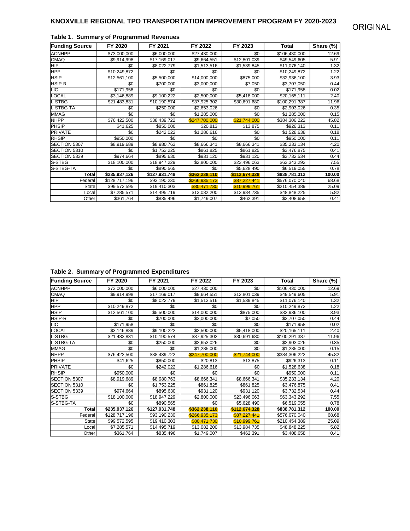| <b>Funding Source</b> | FY 2020       | FY 2021       | FY 2022       | FY 2023       | Total         | Share (%) |
|-----------------------|---------------|---------------|---------------|---------------|---------------|-----------|
| <b>ACNHPP</b>         | \$73,000,000  | \$6,000,000   | \$27,430,000  | \$0           | \$106,430,000 | 12.69     |
| <b>CMAQ</b>           | \$9,914,998   | \$17,169,017  | \$9,664,551   | \$12,801,039  | \$49,549,605  | 5.91      |
| <b>HIP</b>            | \$0           | \$8,022,779   | \$1,513,516   | \$1,539,845   | \$11,076,140  | 1.32      |
| <b>HPP</b>            | \$10,249,872  | \$0           | \$0           | \$0           | \$10,249,872  | 1.22      |
| <b>HSIP</b>           | \$12,561,100  | \$5,500,000   | \$14,000,000  | \$875,000     | \$32,936,100  | 3.93      |
| HSIP-R                | \$0           | \$700,000     | \$3,000,000   | \$7,050       | \$3,707,050   | 0.44      |
| <b>LIC</b>            | \$171,958     | \$0           | \$0           | \$0           | \$171,958     | 0.02      |
| <b>LOCAL</b>          | \$3,146,889   | \$9,100,222   | \$2,500,000   | \$5,418,000   | \$20,165,111  | 2.40      |
| L-STBG                | \$21,483,831  | \$10,190,574  | \$37,925,302  | \$30,691,680  | \$100,291,387 | 11.96     |
| L-STBG-TA             | \$0           | \$250,000     | \$2,653,026   | \$0           | \$2,903,026   | 0.35      |
| <b>MMAG</b>           | \$0           | \$0           | \$1,285,000   | \$0           | \$1,285,000   | 0.15      |
| <b>NHPP</b>           | \$76,422,500  | \$38,439,722  | \$247.700.000 | \$21.744.000  | \$384,306,222 | 45.82     |
| <b>PHSIP</b>          | \$41.625      | \$850,000     | \$20,813      | \$13,875      | \$926,313     | 0.11      |
| <b>PRIVATE</b>        | \$0           | \$242.022     | \$1,286,616   | \$0           | \$1,528,638   | 0.18      |
| <b>RHSIP</b>          | \$950,000     | \$0           | \$0           | \$0           | \$950,000     | 0.11      |
| SECTION 5307          | \$8,919,689   | \$8,980,763   | \$8,666,341   | \$8,666,341   | \$35,233,134  | 4.20      |
| SECTION 5310          | \$0           | \$1,753,225   | \$861,825     | \$861,825     | \$3,476,875   | 0.41      |
| SECTION 5339          | \$974,664     | \$895,630     | \$931,120     | \$931,120     | \$3,732,534   | 0.44      |
| S-STBG                | \$18,100,000  | \$18,947,229  | \$2,800,000   | \$23,496,063  | \$63,343,292  | 7.55      |
| S-STBG-TA             | \$0           | \$890,565     | \$0           | \$5,628,490   | \$6,519,055   | 0.78      |
| Total                 | \$235,937,126 | \$127,931,748 | \$362,238,110 | \$112,674,328 | \$838,781,312 | 100.00    |
| Federal               | \$128,717,196 | \$93,190,230  | \$266.935.173 | \$87,227,441  | \$576,070,040 | 68.68     |
| <b>State</b>          | \$99,572,595  | \$19,410,303  | \$80,471,730  | \$10,999,761  | \$210,454,389 | 25.09     |
| Local                 | \$7,285,571   | \$14,495,719  | \$13,082,200  | \$13,984,735  | \$48,848,225  | 5.82      |
| Other                 | \$361,764     | \$835,496     | \$1,749,007   | \$462,391     | \$3,408,658   | 0.41      |

#### **Table 1. Summary of Programmed Revenues**

**Table 2. Summary of Programmed Expenditures**

| <b>Funding Source</b> | FY 2020       | FY 2021       | FY 2022       | FY 2023       | Total         | Share (%) |
|-----------------------|---------------|---------------|---------------|---------------|---------------|-----------|
| <b>ACNHPP</b>         | \$73,000,000  | \$6,000,000   | \$27,430,000  | \$0           | \$106,430,000 | 12.69     |
| <b>CMAQ</b>           | \$9,914,998   | \$17,169,017  | \$9,664,551   | \$12,801,039  | \$49,549,605  | 5.91      |
| HIP                   | \$0           | \$8,022,779   | \$1,513,516   | \$1,539,845   | \$11,076,140  | 1.32      |
| <b>HPP</b>            | \$10,249,872  | \$0           | \$0           | \$0           | \$10,249,872  | 1.22      |
| <b>HSIP</b>           | \$12.561.100  | \$5,500,000   | \$14,000,000  | \$875,000     | \$32,936,100  | 3.93      |
| HSIP-R                | \$0           | \$700,000     | \$3,000,000   | \$7,050       | \$3,707,050   | 0.44      |
| <b>LIC</b>            | \$171,958     | \$0           | \$0           | \$0           | \$171,958     | 0.02      |
| <b>LOCAL</b>          | \$3,146,889   | \$9,100,222   | \$2,500,000   | \$5,418,000   | \$20,165,111  | 2.40      |
| <b>L-STBG</b>         | \$21,483,831  | \$10,190,574  | \$37,925,302  | \$30,691,680  | \$100,291,387 | 11.96     |
| L-STBG-TA             | \$0           | \$250,000     | \$2,653,026   | \$0           | \$2,903,026   | 0.35      |
| <b>MMAG</b>           | \$0           | \$0           | \$1,285,000   | \$0           | \$1,285,000   | 0.15      |
| <b>NHPP</b>           | \$76,422,500  | \$38,439,722  | \$247,700,000 | \$21,744,000  | \$384,306,222 | 45.82     |
| <b>PHSIP</b>          | \$41,625      | \$850,000     | \$20,813      | \$13,875      | \$926,313     | 0.11      |
| <b>PRIVATE</b>        | \$0           | \$242,022     | \$1,286,616   | \$0           | \$1,528,638   | 0.18      |
| <b>RHSIP</b>          | \$950,000     | \$0           | \$0           | \$0           | \$950,000     | 0.11      |
| SECTION 5307          | \$8,919,689   | \$8,980,763   | \$8,666,341   | \$8,666,341   | \$35,233,134  | 4.20      |
| SECTION 5310          | \$0           | \$1,753,225   | \$861,825     | \$861,825     | \$3,476,875   | 0.41      |
| SECTION 5339          | \$974,664     | \$895,630     | \$931,120     | \$931,120     | \$3,732,534   | 0.44      |
| S-STBG                | \$18,100,000  | \$18,947,229  | \$2,800,000   | \$23,496,063  | \$63,343,292  | 7.55      |
| S-STBG-TA             | \$0           | \$890,565     | \$0           | \$5,628,490   | \$6,519,055   | 0.78      |
| Total                 | \$235,937,126 | \$127,931,748 | \$362,238,110 | \$112,674,328 | \$838,781,312 | 100.00    |
| Federal               | \$128,717,196 | \$93,190,230  | \$266.935.173 | \$87.227.441  | \$576,070,040 | 68.68     |
| State                 | \$99,572,595  | \$19,410,303  | \$80.471.730  | \$10,999,761  | \$210,454,389 | 25.09     |
| Local                 | \$7,285,571   | \$14,495,719  | \$13,082,200  | \$13,984,735  | \$48,848,225  | 5.82      |
| Other                 | \$361,764     | \$835,496     | \$1,749,007   | \$462.391     | \$3,408,658   | 0.41      |